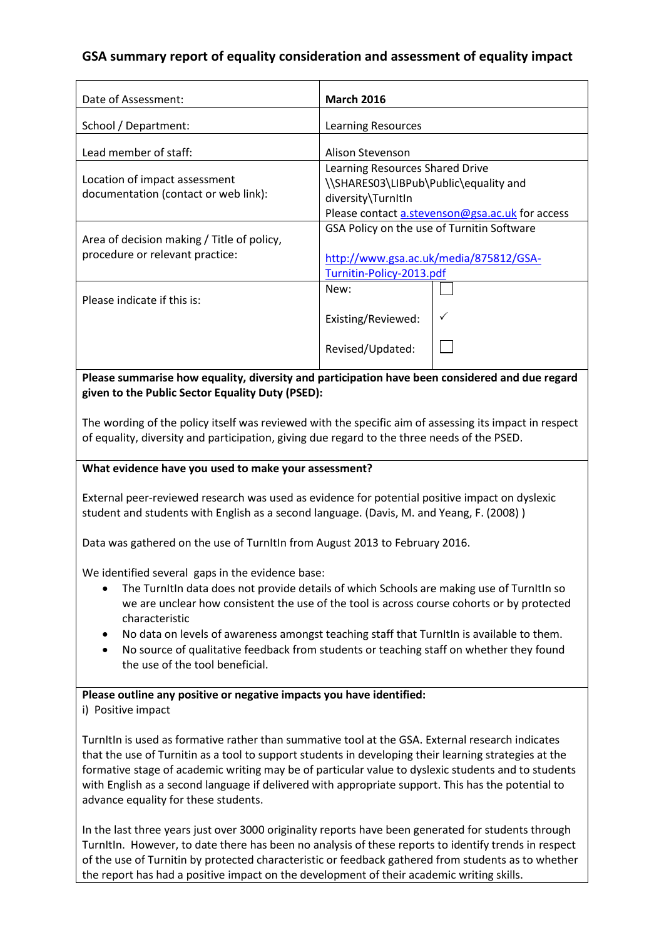# **GSA summary report of equality consideration and assessment of equality impact**

| Date of Assessment:                                                           | <b>March 2016</b>                                                                                                                                 |
|-------------------------------------------------------------------------------|---------------------------------------------------------------------------------------------------------------------------------------------------|
| School / Department:                                                          | <b>Learning Resources</b>                                                                                                                         |
| Lead member of staff:                                                         | Alison Stevenson                                                                                                                                  |
| Location of impact assessment<br>documentation (contact or web link):         | Learning Resources Shared Drive<br>\\SHARES03\LIBPub\Public\equality and<br>diversity\TurnItIn<br>Please contact a.stevenson@gsa.ac.uk for access |
| Area of decision making / Title of policy,<br>procedure or relevant practice: | GSA Policy on the use of Turnitin Software<br>http://www.gsa.ac.uk/media/875812/GSA-<br>Turnitin-Policy-2013.pdf                                  |
| Please indicate if this is:                                                   | New:                                                                                                                                              |
|                                                                               | ✓<br>Existing/Reviewed:                                                                                                                           |
|                                                                               | Revised/Updated:                                                                                                                                  |

**Please summarise how equality, diversity and participation have been considered and due regard given to the Public Sector Equality Duty (PSED):**

The wording of the policy itself was reviewed with the specific aim of assessing its impact in respect of equality, diversity and participation, giving due regard to the three needs of the PSED.

### **What evidence have you used to make your assessment?**

External peer-reviewed research was used as evidence for potential positive impact on dyslexic student and students with English as a second language. (Davis, M. and Yeang, F. (2008) )

Data was gathered on the use of TurnItIn from August 2013 to February 2016.

We identified several gaps in the evidence base:

- The TurnItIn data does not provide details of which Schools are making use of TurnItIn so we are unclear how consistent the use of the tool is across course cohorts or by protected characteristic
- No data on levels of awareness amongst teaching staff that TurnItIn is available to them.
- No source of qualitative feedback from students or teaching staff on whether they found the use of the tool beneficial.

### **Please outline any positive or negative impacts you have identified:**

i) Positive impact

TurnItIn is used as formative rather than summative tool at the GSA. External research indicates that the use of Turnitin as a tool to support students in developing their learning strategies at the formative stage of academic writing may be of particular value to dyslexic students and to students with English as a second language if delivered with appropriate support. This has the potential to advance equality for these students.

In the last three years just over 3000 originality reports have been generated for students through TurnItIn. However, to date there has been no analysis of these reports to identify trends in respect of the use of Turnitin by protected characteristic or feedback gathered from students as to whether the report has had a positive impact on the development of their academic writing skills.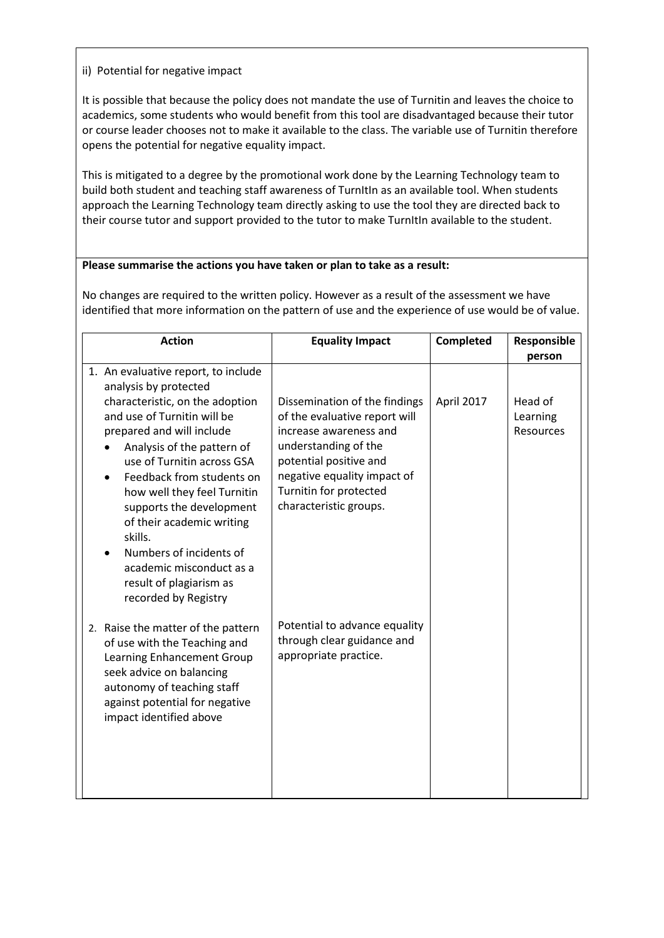## ii) Potential for negative impact

It is possible that because the policy does not mandate the use of Turnitin and leaves the choice to academics, some students who would benefit from this tool are disadvantaged because their tutor or course leader chooses not to make it available to the class. The variable use of Turnitin therefore opens the potential for negative equality impact.

This is mitigated to a degree by the promotional work done by the Learning Technology team to build both student and teaching staff awareness of TurnItIn as an available tool. When students approach the Learning Technology team directly asking to use the tool they are directed back to their course tutor and support provided to the tutor to make TurnItIn available to the student.

### **Please summarise the actions you have taken or plan to take as a result:**

No changes are required to the written policy. However as a result of the assessment we have identified that more information on the pattern of use and the experience of use would be of value.

| <b>Action</b>                                                                                                                                                                                                                                                                                                                                                  | <b>Equality Impact</b>                                                                                                                                                                       | Completed  | Responsible           |
|----------------------------------------------------------------------------------------------------------------------------------------------------------------------------------------------------------------------------------------------------------------------------------------------------------------------------------------------------------------|----------------------------------------------------------------------------------------------------------------------------------------------------------------------------------------------|------------|-----------------------|
|                                                                                                                                                                                                                                                                                                                                                                |                                                                                                                                                                                              |            | person                |
| 1. An evaluative report, to include<br>analysis by protected<br>characteristic, on the adoption                                                                                                                                                                                                                                                                | Dissemination of the findings                                                                                                                                                                | April 2017 | Head of               |
| and use of Turnitin will be<br>prepared and will include<br>Analysis of the pattern of<br>use of Turnitin across GSA<br>Feedback from students on<br>how well they feel Turnitin<br>supports the development<br>of their academic writing<br>skills.<br>Numbers of incidents of<br>academic misconduct as a<br>result of plagiarism as<br>recorded by Registry | of the evaluative report will<br>increase awareness and<br>understanding of the<br>potential positive and<br>negative equality impact of<br>Turnitin for protected<br>characteristic groups. |            | Learning<br>Resources |
| 2. Raise the matter of the pattern<br>of use with the Teaching and<br>Learning Enhancement Group<br>seek advice on balancing<br>autonomy of teaching staff<br>against potential for negative<br>impact identified above                                                                                                                                        | Potential to advance equality<br>through clear guidance and<br>appropriate practice.                                                                                                         |            |                       |